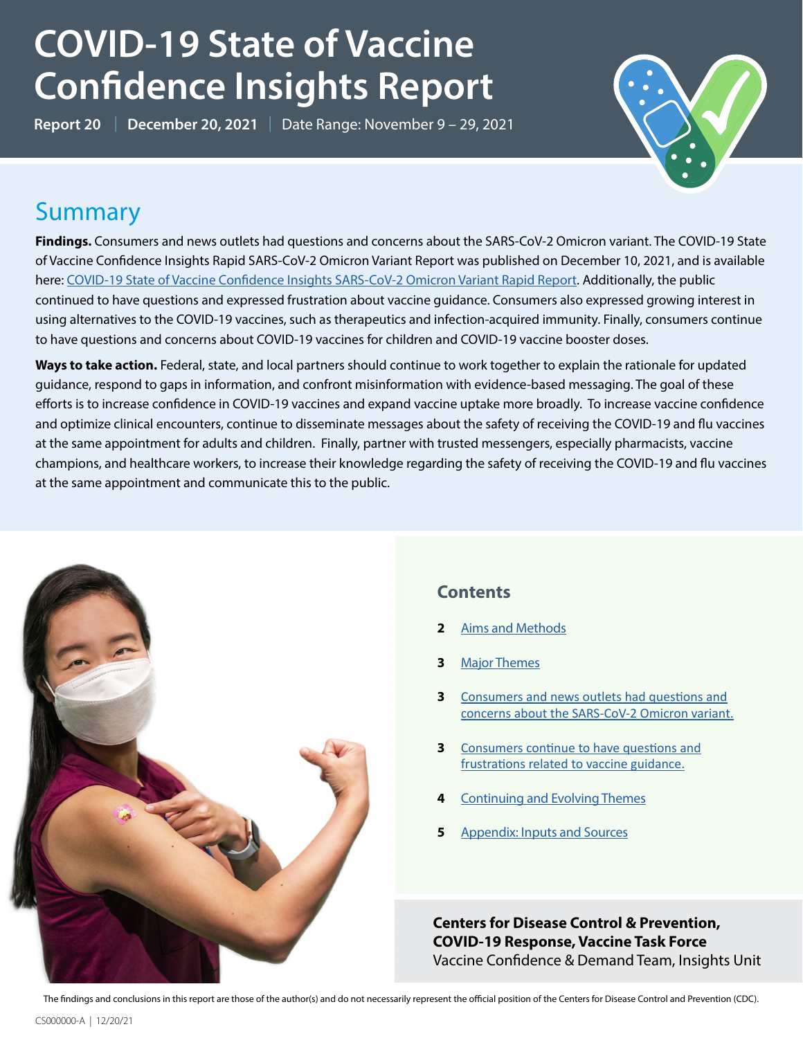# **COVID-19 State of Vaccine Confidence Insights Report**

**Report 20** | **December 20, 2021** | Date Range: November 9 – 29, 2021



### **Summary**

**Findings.** Consumers and news outlets had questions and concerns about the SARS-CoV-2 Omicron variant. The COVID-19 State of Vaccine Confidence Insights Rapid SARS-CoV-2 Omicron Variant Report was published on December 10, 2021, and is available here: [COVID-19 State of Vaccine Confidence Insights SARS-CoV-2 Omicron Variant Rapid Report.](https://www.cdc.gov/vaccines/covid-19/downloads/SoVC-omicron-12-10-21.pdf) Additionally, the public continued to have questions and expressed frustration about vaccine guidance. Consumers also expressed growing interest in using alternatives to the COVID-19 vaccines, such as therapeutics and infection-acquired immunity. Finally, consumers continue to have questions and concerns about COVID-19 vaccines for children and COVID-19 vaccine booster doses.

**Ways to take action.** Federal, state, and local partners should continue to work together to explain the rationale for updated guidance, respond to gaps in information, and confront misinformation with evidence-based messaging. The goal of these efforts is to increase confidence in COVID-19 vaccines and expand vaccine uptake more broadly. To increase vaccine confidence and optimize clinical encounters, continue to disseminate messages about the safety of receiving the COVID-19 and flu vaccines at the same appointment for adults and children. Finally, partner with trusted messengers, especially pharmacists, vaccine champions, and healthcare workers, to increase their knowledge regarding the safety of receiving the COVID-19 and flu vaccines at the same appointment and communicate this to the public.



### **Contents**

- **2** [Aims and Methods](#page-1-0)
- **3** [Major Themes](#page-2-0)
- **3** [Consumers and news outlets had questions and](#page-2-1) [concerns about the SARS-CoV-2 Omicron variant.](#page-2-1)
- **3** [Consumers continue to have questions and](#page-2-2) [frustrations related to vaccine guidance.](#page-2-2)
- **4** [Continuing and Evolving Themes](#page-3-0)
- **5** [Appendix: Inputs and Sources](#page-4-0)

**Centers for Disease Control & Prevention, COVID-19 Response, Vaccine Task Force** Vaccine Confidence & Demand Team, Insights Unit

The findings and conclusions in this report are those of the author(s) and do not necessarily represent the official position of the Centers for Disease Control and Prevention (CDC).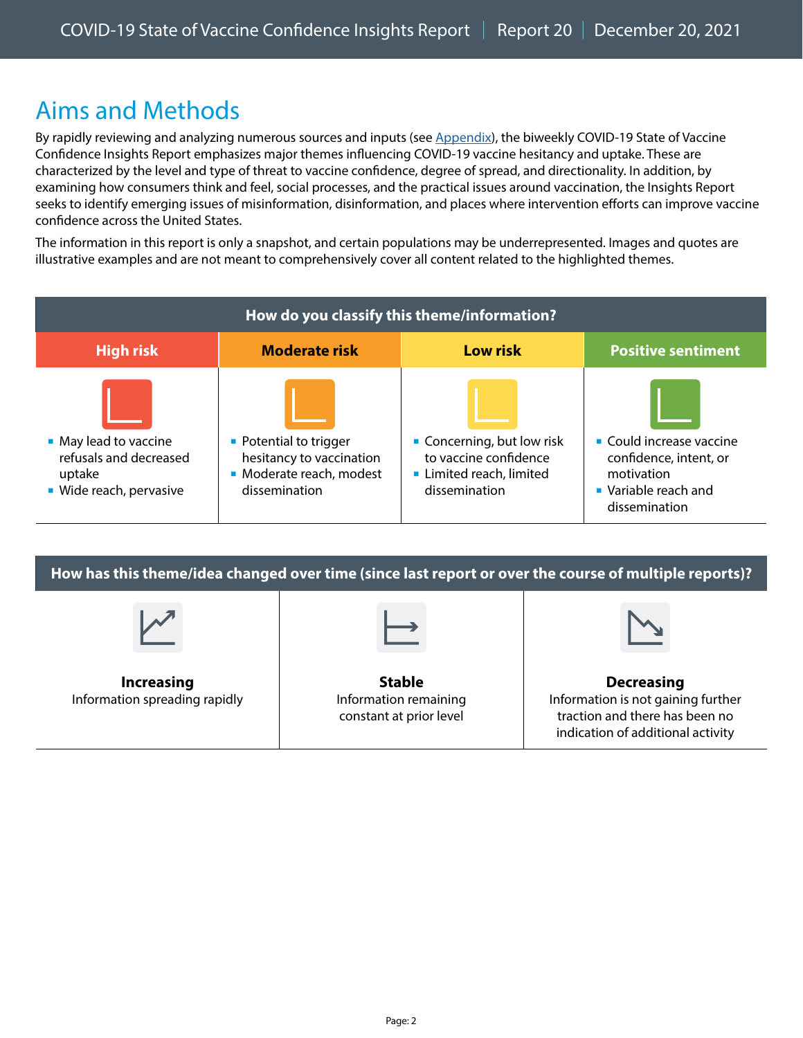### <span id="page-1-0"></span>Aims and Methods

By rapidly reviewing and analyzing numerous sources and inputs (see Appendix), the biweekly COVID-19 State of Vaccine Confidence Insights Report emphasizes major themes influencing COVID-19 vaccine hesitancy and uptake. These are characterized by the level and type of threat to vaccine confidence, degree of spread, and directionality. In addition, by examining how consumers think and feel, social processes, and the practical issues around vaccination, the Insights Report seeks to identify emerging issues of misinformation, disinformation, and places where intervention efforts can improve vaccine confidence across the United States.

The information in this report is only a snapshot, and certain populations may be underrepresented. Images and quotes are illustrative examples and are not meant to comprehensively cover all content related to the highlighted themes.

| How do you classify this theme/information?                                               |                                                                                                 |                                                                                                |                                                                                                           |  |  |
|-------------------------------------------------------------------------------------------|-------------------------------------------------------------------------------------------------|------------------------------------------------------------------------------------------------|-----------------------------------------------------------------------------------------------------------|--|--|
| <b>High risk</b>                                                                          | <b>Moderate risk</b>                                                                            | <b>Low risk</b>                                                                                | <b>Positive sentiment</b>                                                                                 |  |  |
| • May lead to vaccine<br>refusals and decreased<br>uptake<br><b>Wide reach, pervasive</b> | • Potential to trigger<br>hesitancy to vaccination<br>• Moderate reach, modest<br>dissemination | • Concerning, but low risk<br>to vaccine confidence<br>Limited reach, limited<br>dissemination | • Could increase vaccine<br>confidence, intent, or<br>motivation<br>• Variable reach and<br>dissemination |  |  |

**How has this theme/idea changed over time (since last report or over the course of multiple reports)? Increasing** Information spreading rapidly **Stable** Information remaining constant at prior level **Decreasing** Information is not gaining further traction and there has been no indication of additional activity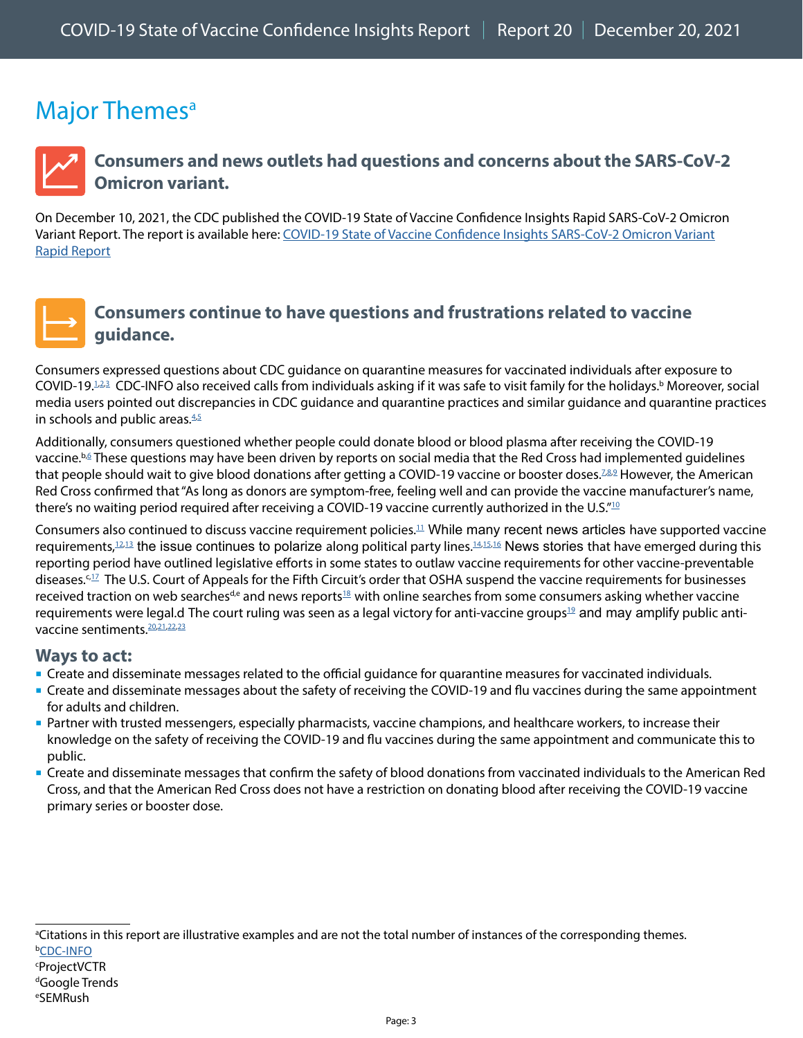### <span id="page-2-0"></span>Major Themes<sup>a</sup>



### <span id="page-2-1"></span>**Consumers and news outlets had questions and concerns about the SARS-CoV-2 Omicron variant.**

On December 10, 2021, the CDC published the COVID-19 State of Vaccine Confidence Insights Rapid SARS-CoV-2 Omicron Variant Report. The report is available here: [COVID-19 State of Vaccine Confidence Insights SARS-CoV-2 Omicron Variant](https://www.cdc.gov/vaccines/covid-19/downloads/SoVC-omicron-12-10-21.pdf) [Rapid Report](https://www.cdc.gov/vaccines/covid-19/downloads/SoVC-omicron-12-10-21.pdf)



### <span id="page-2-2"></span>**Consumers continue to have questions and frustrations related to vaccine guidance.**

Consumers expressed questions about CDC guidance on quarantine measures for vaccinated individuals after exposure to COVID-[1](https://twitter.com/sleeptalky/status/1465116078691045384)9.<sup>1[,2](https://twitter.com/KillaCali27/status/1464819165387182087),[3](https://twitter.com/savaglio_lydia/status/1465176275111366658)</sup> CDC-INFO also received calls from individuals asking if it was safe to visit family for the holidays.<sup>b</sup> Moreover, social media users pointed out discrepancies in CDC guidance and quarantine practices and similar guidance and quarantine practices in schools and public areas. $4.5$  $4.5$ 

Additionally, consumers questioned whether people could donate blood or blood plasma after receiving the COVID-19 vaccine.<sup>b,≦</sup> These questions may have been driven by reports on social media that the Red Cross had implemented guidelines that people should wait to give blood donations after getting a COVID-19 vaccine or booster doses.<sup>[7](https://twitter.com/BecauseBitcoin/status/1464324157034962959)[,8](https://twitter.com/OhGaskin/status/1463236816182644737),[9](https://twitter.com/JohnReagan/status/1465071953165750274)</sup> However, the American Red Cross confirmed that "As long as donors are symptom-free, feeling well and can provide the vaccine manufacturer's name, there's no waiting period required after receiving a COVID-19 vaccine currently authorized in the U.S." $10$ 

Consumers also continued to discuss vaccine requirement policies[.11](https://www.wgal.com/article/federal-court-declines-to-lift-stay-on-covid-19-vaccine-mandate/38240834) While many recent news articles have supported vaccine requirements, $12,13$  $12,13$  the issue continues to polarize along political party lines. $14,15,16$  $14,15,16$  $14,15,16$  News stories that have emerged during this reporting period have outlined legislative efforts in some states to outlaw vaccine requirements for other vaccine-preventable diseases.<sup>c,17</sup> The U.S. Court of Appeals for the Fifth Circuit's order that OSHA suspend the vaccine requirements for businesses received traction on web searches<sup>d,e</sup> and news reports<sup>18</sup> with online searches from some consumers asking whether vaccine requirements were legal.d The court ruling was seen as a legal victory for anti-vaccine groups<sup>[19](https://www.facebook.com/100064673353457/posts/254624193370024)</sup> and may amplify public antivaccine sentiments.[20](https://www.instagram.com/p/CWNQ9lyrESH/)[,21,](https://twitter.com/TXAG/status/1459306714956808204)[22](https://www.facebook.com/100064500950025/posts/259320556227974)[,23](https://www.facebook.com/622560021241889/posts/2169833786514497)

#### **Ways to act:**

- Create and disseminate messages related to the official guidance for quarantine measures for vaccinated individuals.
- Create and disseminate messages about the safety of receiving the COVID-19 and flu vaccines during the same appointment for adults and children.
- Partner with trusted messengers, especially pharmacists, vaccine champions, and healthcare workers, to increase their knowledge on the safety of receiving the COVID-19 and flu vaccines during the same appointment and communicate this to public.
- Create and disseminate messages that confirm the safety of blood donations from vaccinated individuals to the American Red Cross, and that the American Red Cross does not have a restriction on donating blood after receiving the COVID-19 vaccine primary series or booster dose.

a Citations in this report are illustrative examples and are not the total number of instances of the corresponding themes. **<u>[CDC-INFO](https://www.cdc.gov/cdc-info/index.html)</u>** 

#### **ProjectVCTR**

#### d Google Trends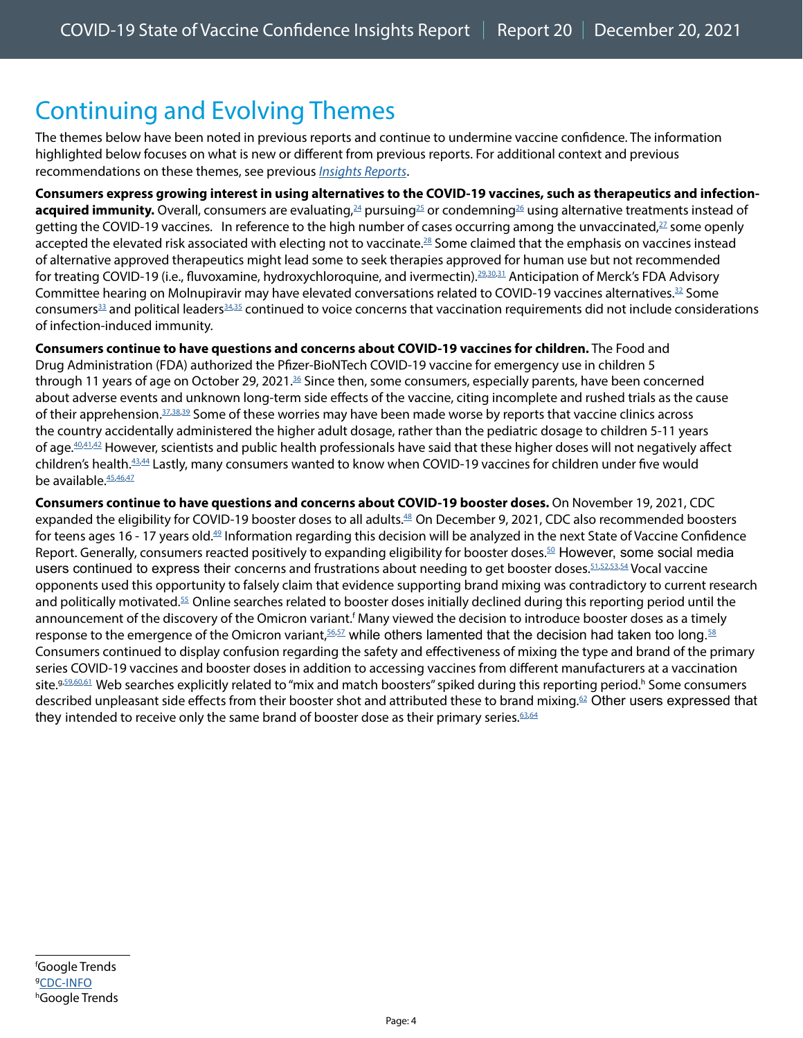# <span id="page-3-0"></span>Continuing and Evolving Themes

The themes below have been noted in previous reports and continue to undermine vaccine confidence. The information highlighted below focuses on what is new or different from previous reports. For additional context and previous recommendations on these themes, see previous *[Insights Reports](https://www.cdc.gov/vaccines/covid-19/vaccinate-with-confidence.html#reports)*.

**Consumers express growing interest in using alternatives to the COVID-19 vaccines, such as therapeutics and infectionacquired immunity.** Overall, consumers are evaluating,<sup>24</sup> pursuing<sup>25</sup> or condemning<sup>26</sup> using alternative treatments instead of getting the COVID-19 vaccines. In reference to the high number of cases occurring among the unvaccinated,<sup>27</sup> some openly accepted the elevated risk associated with electing not to vaccinate.<sup>[28](https://twitter.com/writerbeverly/status/1461092570994339848)</sup> Some claimed that the emphasis on vaccines instead of alternative approved therapeutics might lead some to seek therapies approved for human use but not recommended for treating COVID-19 (i.e., fluvoxamine, hydroxychloroquine, and ivermectin).<sup>29,[30](https://twitter.com/avatans/status/1465095841325191171)[,31](https://twitter.com/NeObyq/status/1465428272829931526)</sup> Anticipation of Merck's FDA Advisory Committee hearing on Molnupiravir may have elevated conversations related to COVID-19 vaccines alternatives.<sup>[32](https://www.merck.com/news/merck-and-ridgeback-statement-on-positive-fda-advisory-committee-vote-for-investigational-oral-antiviral-molnupiravir-for-treatment-of-mild-to-moderate-covid-19-in-high-risk-adults/)</sup> Some consumers<sup>[33](https://www.instagram.com/p/CWT_6ZeMq2U/c/17898684716302490/)</sup> and political leaders<sup>[34](https://twitter.com/RepMontague/status/1465432877936652294),35</sup> continued to voice concerns that vaccination requirements did not include considerations of infection-induced immunity.

**Consumers continue to have questions and concerns about COVID-19 vaccines for children.** The Food and Drug Administration (FDA) authorized the Pfizer-BioNTech COVID-19 vaccine for emergency use in children 5 through 11 years of age on October 29, 2021.<sup>36</sup> Since then, some consumers, especially parents, have been concerned about adverse events and unknown long-term side effects of the vaccine, citing incomplete and rushed trials as the cause of their apprehension. $37,38,39$  $37,38,39$  $37,38,39$  $37,38,39$  Some of these worries may have been made worse by reports that vaccine clinics across the country accidentally administered the higher adult dosage, rather than the pediatric dosage to children 5-11 years of age.<sup>40,[41](https://www.mercurynews.com/2021/11/16/14-kids-received-wrong-covid-vaccine-dose-at-east-bay-sutter-clinic/),42</sup> However, scientists and public health professionals have said that these higher doses will not negatively affect children's health[.43,](https://wtop.com/coronavirus/2021/11/what-if-your-kid-gets-the-wrong-covid-19-vaccine-dose/)[44](https://www.goodmorningamerica.com/wellness/story/young-kids-wrong-covid-19-vaccine-dose-reason-81238236) Lastly, many consumers wanted to know when COVID-19 vaccines for children under five would be available. 45,[46](https://twitter.com/StephHerold/status/1465365040694013958)[,47](https://www.businessinsider.com/fauci-babies-toddlers-should-get-covid-19-vaccines-by-spring-2021-11)

**Consumers continue to have questions and concerns about COVID-19 booster doses.** On November 19, 2021, CDC expanded the eligibility for COVID-19 booster doses to all adults.<sup>[48](https://www.cdc.gov/media/releases/2021/s1119-booster-shots.html)</sup> On December 9, 2021, CDC also recommended boosters for teens ages 16 - 17 years old.[49](https://www.cdc.gov/media/releases/2021/s1208-16-17-booster.html) Information regarding this decision will be analyzed in the next State of Vaccine Confidence Report. Generally, consumers reacted positively to expanding eligibility for booster doses.<sup>50</sup> However, some social media users continued to express their concerns and frustrations about needing to get booster doses. 51,[52](https://www.instagram.com/p/CWoTmh0sTga/c/17909550047239911/)[,53,](https://www.instagram.com/p/CWEcRrEFmfe/c/17933776492694615/)[54](https://www.instagram.com/p/CWmC1Zdt7-W/c/17919304556074427/) Vocal vaccine opponents used this opportunity to falsely claim that evidence supporting brand mixing was contradictory to current research and politically motivated.[55](https://www.facebook.com/cdc/posts/257563673071745?comment_id=435354037971890&__tn__=R*F) Online searches related to booster doses initially declined during this reporting period until the announcement of the discovery of the Omicron variant.<sup>f</sup> Many viewed the decision to introduce booster doses as a timely response to the emergence of the Omicron variant,  $56,57$  while others lamented that the decision had taken too long.  $58$ Consumers continued to display confusion regarding the safety and effectiveness of mixing the type and brand of the primary series COVID-19 vaccines and booster doses in addition to accessing vaccines from different manufacturers at a vaccination site.9[59](https://www.facebook.com/cdc/posts/257563673071745?comment_id=257574969737282&__tn__=R*F)[,60,](https://www.facebook.com/cdc/posts/257563673071745?comment_id=435354037971890&__cft__%5b0%5d=AZWPjE-ABRL0etDbYyK1TmBnLMim91d1_bLraNad-BMkDEIvSng9OC6rY51ck7T3M4NEVoHqdfH3KTAAmtHaCSuCecmbwVJeLnzKMjGj1whp-LyBi4hn2UKUUmUUNlSQ3zX7s3tXQappCCF3dVDTBa69&__tn__=R%5d-R)[61](https://www.facebook.com/cdc/posts/257563673071745?comment_id=257591279735651&__cft__%5b0%5d=AZVc7ycyL4A2-9bqZmpgeHEPiVV33CXttSgUJlnbleC5WTPb38-zXjb0hAgiAtUpESrBMFm_79qKRsZE1a1NCbJSaHhAkdufDfisbd6tEczks1nEfcqwV-8DwCheINfNTipg5EkZUZWG-I8Ekmrt59xh&__tn__=R%5d-R) Web searches explicitly related to "mix and match boosters" spiked during this reporting period.<sup>h</sup> Some consumers described unpleasant side effects from their booster shot and attributed these to brand mixing.<sup>[62](https://www.facebook.com/cdc/posts/258213083006804?comment_id=258233433004769&__tn__=R*F)</sup> Other users expressed that they intended to receive only the same brand of booster dose as their primary series.  $63,64$  $63,64$